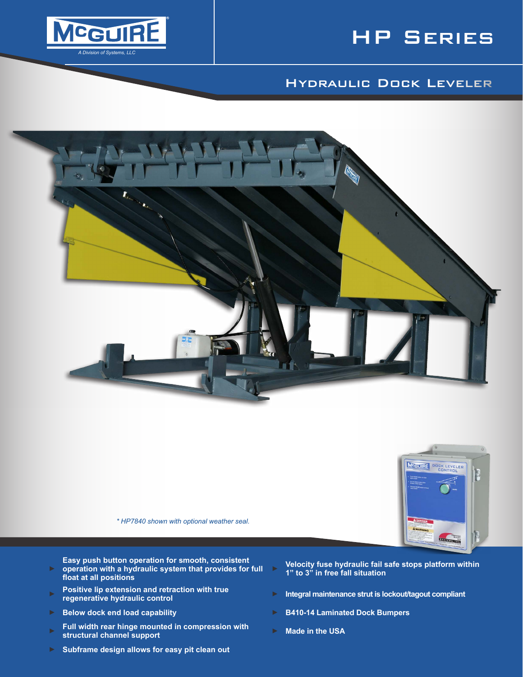



# Hydraulic Dock Leveler



*\* HP7840 shown with optional weather seal.*

**Easy push button operation for smooth, consistent operation with a hydraulic system that provides for full** 

- ► **Velocity fuse hydraulic fail safe stops platform within 1" to 3" in free fall situation**
- ► **Positive lip extension and retraction with true**
- ► **Below dock end load capability** ► **B410-14 Laminated Dock Bumpers**

**float at all positions**

- ► **Full width rear hinge mounted in compression with Full width rear ninge mounted in compression with Company Book** Made in the USA<br>structural channel support
- ► **Subframe design allows for easy pit clean out**
- **Integral maintenance strut is lockout/tagout compliant**

**EXTENDED** 

- 
-